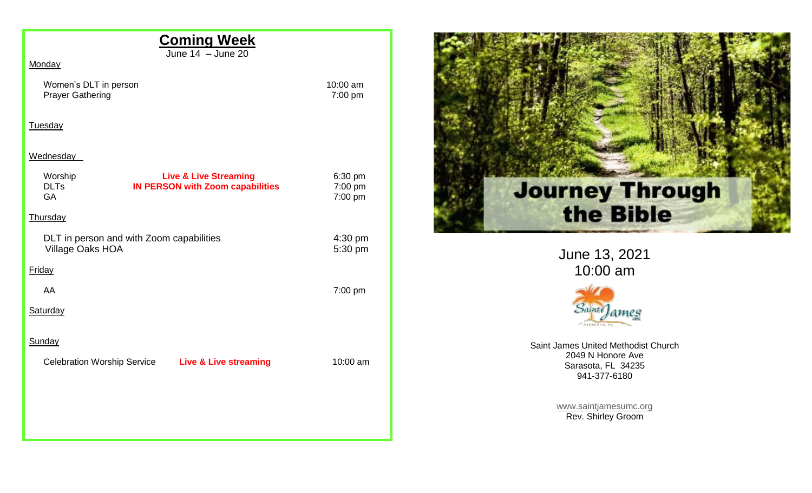| Monday                                                                                                                   |                               |     |
|--------------------------------------------------------------------------------------------------------------------------|-------------------------------|-----|
| Women's DLT in person<br><b>Prayer Gathering</b>                                                                         | 10:00 am<br>7:00 pm           |     |
| Tuesday                                                                                                                  |                               |     |
| Wednesday<br><b>Live &amp; Live Streaming</b><br>Worship<br><b>IN PERSON with Zoom capabilities</b><br><b>DLTs</b><br>GA | 6:30 pm<br>7:00 pm<br>7:00 pm | lo  |
| Thursday                                                                                                                 |                               |     |
| DLT in person and with Zoom capabilities<br>Village Oaks HOA                                                             | 4:30 pm<br>5:30 pm            |     |
| Friday                                                                                                                   |                               |     |
| AA                                                                                                                       | 7:00 pm                       |     |
| Saturday                                                                                                                 |                               |     |
| Sunday                                                                                                                   |                               | Sai |
| <b>Celebration Worship Service</b><br><b>Live &amp; Live streaming</b>                                                   | 10:00 am                      |     |



June 13, 2021 10:00 am



int James United Methodist Church 2049 N Honore Ave Sarasota, FL 34235 941-377-6180

> [www.saintjamesumc.org](http://www.saintjamesumc.org/) Rev. Shirley Groom